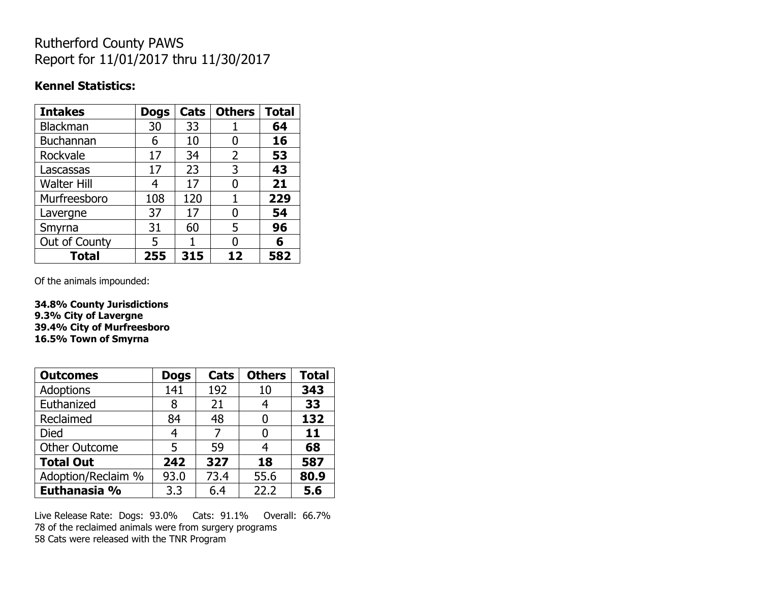## Rutherford County PAWS Report for 11/01/2017 thru 11/30/2017

#### **Kennel Statistics:**

| <b>Intakes</b>     | <b>Dogs</b> | Cats | <b>Others</b> | <b>Total</b> |
|--------------------|-------------|------|---------------|--------------|
| <b>Blackman</b>    | 30          | 33   |               | 64           |
| <b>Buchannan</b>   | 6           | 10   | 0             | 16           |
| Rockvale           | 17          | 34   | 2             | 53           |
| Lascassas          | 17          | 23   | 3             | 43           |
| <b>Walter Hill</b> | 4           | 17   | 0             | 21           |
| Murfreesboro       | 108         | 120  |               | 229          |
| Lavergne           | 37          | 17   | O             | 54           |
| Smyrna             | 31          | 60   | 5             | 96           |
| Out of County      | 5           |      | N             | 6            |
| <b>Total</b>       | 255         | 315  | 12            | 582          |

Of the animals impounded:

**34.8% County Jurisdictions 9.3% City of Lavergne 39.4% City of Murfreesboro 16.5% Town of Smyrna**

| <b>Outcomes</b>      | <b>Dogs</b> | Cats | <b>Others</b> | <b>Total</b> |
|----------------------|-------------|------|---------------|--------------|
| Adoptions            | 141         | 192  | 10            | 343          |
| Euthanized           | 8           | 21   |               | 33           |
| Reclaimed            | 84          | 48   |               | 132          |
| <b>Died</b>          | 4           |      |               | 11           |
| <b>Other Outcome</b> | 5           | 59   | 4             | 68           |
| <b>Total Out</b>     | 242         | 327  | 18            | 587          |
| Adoption/Reclaim %   | 93.0        | 73.4 | 55.6          | 80.9         |
| Euthanasia %         | 3.3         | 6.4  | 22.2          | 5.6          |

Live Release Rate: Dogs: 93.0% Cats: 91.1% Overall: 66.7% 78 of the reclaimed animals were from surgery programs 58 Cats were released with the TNR Program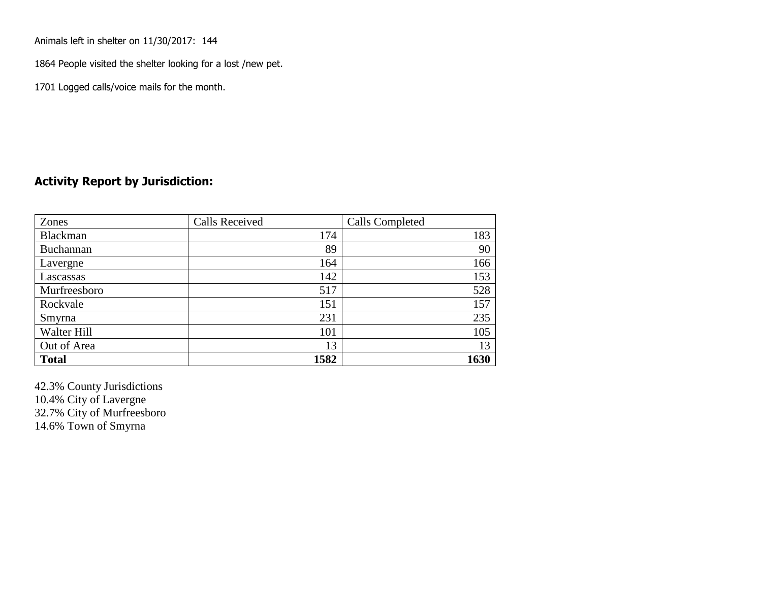Animals left in shelter on 11/30/2017: 144

1864 People visited the shelter looking for a lost /new pet.

1701 Logged calls/voice mails for the month.

### **Activity Report by Jurisdiction:**

| Zones           | <b>Calls Received</b> | Calls Completed |
|-----------------|-----------------------|-----------------|
| <b>Blackman</b> | 174                   | 183             |
| Buchannan       | 89                    | 90              |
| Lavergne        | 164                   | 166             |
| Lascassas       | 142                   | 153             |
| Murfreesboro    | 517                   | 528             |
| Rockvale        | 151                   | 157             |
| Smyrna          | 231                   | 235             |
| Walter Hill     | 101                   | 105             |
| Out of Area     | 13                    | 13              |
| <b>Total</b>    | 1582                  | 1630            |

42.3% County Jurisdictions 10.4% City of Lavergne 32.7% City of Murfreesboro 14.6% Town of Smyrna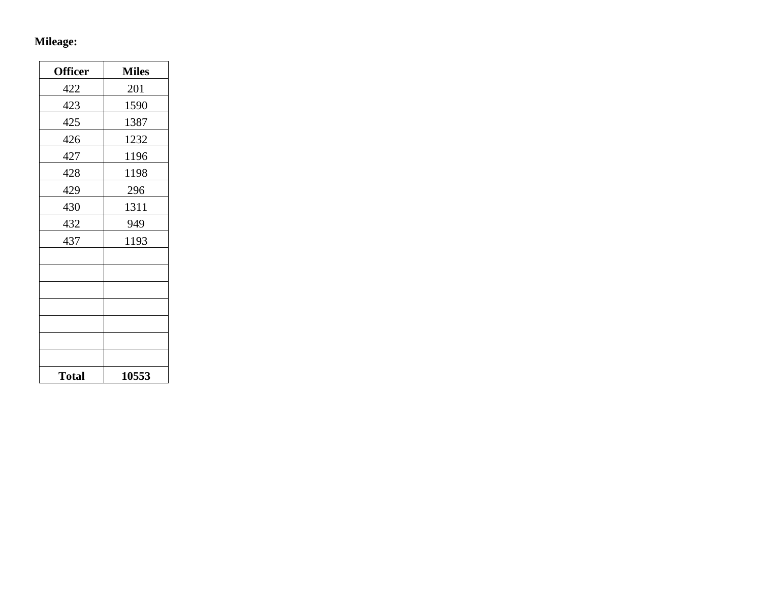# **Mileage:**

| <b>Officer</b> | <b>Miles</b> |
|----------------|--------------|
| 422            | 201          |
| 423            | 1590         |
| 425            | 1387         |
| 426            | 1232         |
| 427            | 1196         |
| 428            | 1198         |
| 429            | 296          |
| 430            | 1311         |
| 432            | 949          |
| 437            | 1193         |
|                |              |
|                |              |
|                |              |
|                |              |
|                |              |
|                |              |
|                |              |
| <b>Total</b>   | 10553        |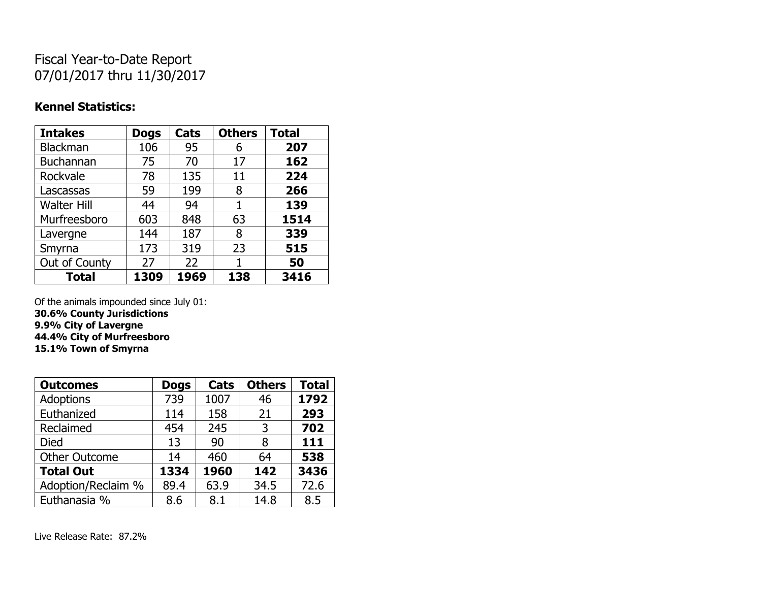## Fiscal Year-to-Date Report 07/01/2017 thru 11/30/2017

### **Kennel Statistics:**

| <b>Intakes</b>     | <b>Dogs</b> | Cats | <b>Others</b> | <b>Total</b> |
|--------------------|-------------|------|---------------|--------------|
| Blackman           | 106         | 95   | 6             | 207          |
| <b>Buchannan</b>   | 75          | 70   | 17            | 162          |
| Rockvale           | 78          | 135  | 11            | 224          |
| Lascassas          | 59          | 199  | 8             | 266          |
| <b>Walter Hill</b> | 44          | 94   | 1             | 139          |
| Murfreesboro       | 603         | 848  | 63            | 1514         |
| Lavergne           | 144         | 187  | 8             | 339          |
| Smyrna             | 173         | 319  | 23            | 515          |
| Out of County      | 27          | 22   | 1             | 50           |
| <b>Total</b>       | 1309        | 1969 | 138           | 3416         |

Of the animals impounded since July 01:

**30.6% County Jurisdictions 9.9% City of Lavergne 44.4% City of Murfreesboro**

**15.1% Town of Smyrna**

| <b>Outcomes</b>      | <b>Dogs</b> | Cats | <b>Others</b> | <b>Total</b> |
|----------------------|-------------|------|---------------|--------------|
| <b>Adoptions</b>     | 739         | 1007 | 46            | 1792         |
| Euthanized           | 114         | 158  | 21            | 293          |
| Reclaimed            | 454         | 245  | 3             | 702          |
| <b>Died</b>          | 13          | 90   | 8             | 111          |
| <b>Other Outcome</b> | 14          | 460  | 64            | 538          |
| <b>Total Out</b>     | 1334        | 1960 | 142           | 3436         |
| Adoption/Reclaim %   | 89.4        | 63.9 | 34.5          | 72.6         |
| Euthanasia %         | 8.6         | 8.1  | 14.8          | 8.5          |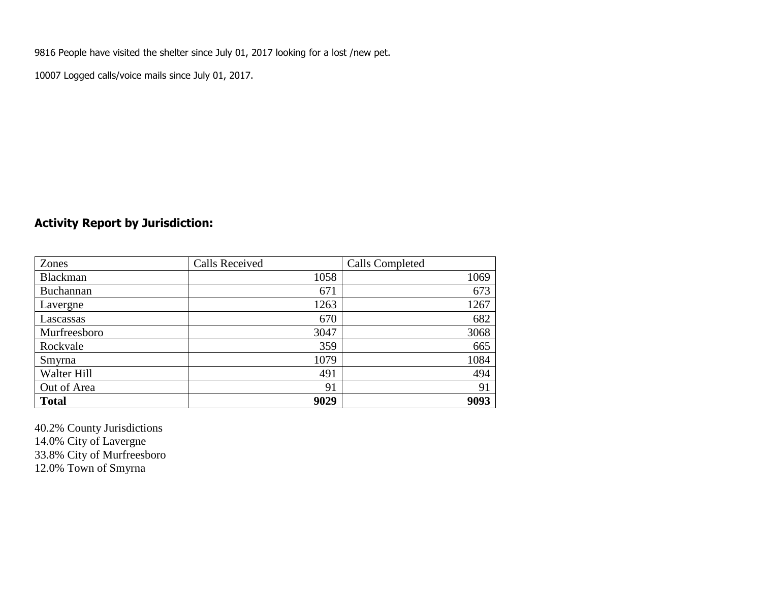9816 People have visited the shelter since July 01, 2017 looking for a lost /new pet.

10007 Logged calls/voice mails since July 01, 2017.

## **Activity Report by Jurisdiction:**

| Zones        | <b>Calls Received</b> | Calls Completed |
|--------------|-----------------------|-----------------|
| Blackman     | 1058                  | 1069            |
| Buchannan    | 671                   | 673             |
| Lavergne     | 1263                  | 1267            |
| Lascassas    | 670                   | 682             |
| Murfreesboro | 3047                  | 3068            |
| Rockvale     | 359                   | 665             |
| Smyrna       | 1079                  | 1084            |
| Walter Hill  | 491                   | 494             |
| Out of Area  | 91                    | 91              |
| <b>Total</b> | 9029                  | 9093            |

40.2% County Jurisdictions 14.0% City of Lavergne 33.8% City of Murfreesboro 12.0% Town of Smyrna